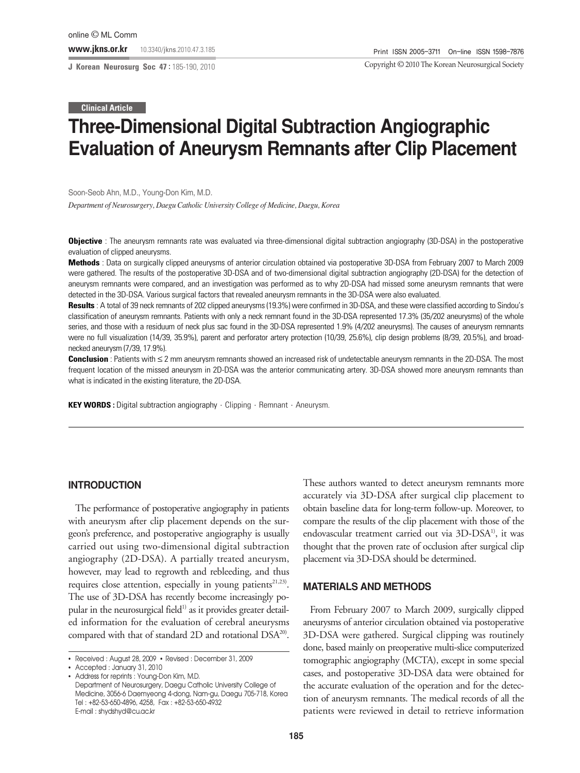**J Korean Neurosurg Soc 47 :** 185-190, 2010

Copyright ©2010 The Korean Neurosurgical Society

**Clinical Article**

# **Three-Dimensional Digital Subtraction Angiographic Evaluation of Aneurysm Remnants after Clip Placement**

Soon-Seob Ahn, M.D., Young-Don Kim, M.D.

*Department of Neurosurgery, Daegu Catholic University College of Medicine, Daegu, Korea*

**Objective** : The aneurysm remnants rate was evaluated via three-dimensional digital subtraction angiography (3D-DSA) in the postoperative evaluation of clipped aneurysms.

**Methods** : Data on surgically clipped aneurysms of anterior circulation obtained via postoperative 3D-DSA from February 2007 to March 2009 were gathered. The results of the postoperative 3D-DSA and of two-dimensional digital subtraction angiography (2D-DSA) for the detection of aneurysm remnants were compared, and an investigation was performed as to why 2D-DSA had missed some aneurysm remnants that were detected in the 3D-DSA. Various surgical factors that revealed aneurysm remnants in the 3D-DSA were also evaluated.

**Results** : A total of 39 neck remnants of 202 clipped aneurysms (19.3%) were confirmed in 3D-DSA, and these were classified according to Sindou's classification of aneurysm remnants. Patients with only a neck remnant found in the 3D-DSA represented 17.3% (35/202 aneurysms) of the whole series, and those with a residuum of neck plus sac found in the 3D-DSA represented 1.9% (4/202 aneurysms). The causes of aneurysm remnants were no full visualization (14/39, 35.9%), parent and perforator artery protection (10/39, 25.6%), clip design problems (8/39, 20.5%), and broadnecked aneurysm (7/39, 17.9%).

**Conclusion** : Patients with ≤ 2 mm aneurysm remnants showed an increased risk of undetectable aneurysm remnants in the 2D-DSA. The most frequent location of the missed aneurysm in 2D-DSA was the anterior communicating artery. 3D-DSA showed more aneurysm remnants than what is indicated in the existing literature, the 2D-DSA.

**KEY WORDS :** Digital subtraction angiography · Clipping · Remnant · Aneurysm.

# **INTRODUCTION**

The performance of postoperative angiography in patients with aneurysm after clip placement depends on the surgeon's preference, and postoperative angiography is usually carried out using two-dimensional digital subtraction angiography (2D-DSA). A partially treated aneurysm, however, may lead to regrowth and rebleeding, and thus requires close attention, especially in young patients<sup>21,23)</sup>. The use of 3D-DSA has recently become increasingly popular in the neurosurgical field<sup>1)</sup> as it provides greater detailed information for the evaluation of cerebral aneurysms compared with that of standard 2D and rotational DSA<sup>20)</sup>.

• Address for reprints : Young-Don Kim, M.D. Department of Neurosurgery, Daegu Catholic University College of Medicine, 3056-6 Daemyeong 4-dong, Nam-gu, Daegu 705-718, Korea Tel : +82-53-650-4896, 4258, Fax : +82-53-650-4932 E-mail : shydshyd@cu.ac.kr

These authors wanted to detect aneurysm remnants more accurately via 3D-DSA after surgical clip placement to obtain baseline data for long-term follow-up. Moreover, to compare the results of the clip placement with those of the endovascular treatment carried out via 3D-DSA<sup>1)</sup>, it was thought that the proven rate of occlusion after surgical clip placement via 3D-DSA should be determined.

### **MATERIALS AND METHODS**

From February 2007 to March 2009, surgically clipped aneurysms of anterior circulation obtained via postoperative 3D-DSA were gathered. Surgical clipping was routinely done, based mainly on preoperative multi-slice computerized tomographic angiography (MCTA), except in some special cases, and postoperative 3D-DSA data were obtained for the accurate evaluation of the operation and for the detection of aneurysm remnants. The medical records of all the patients were reviewed in detail to retrieve information

<sup>•</sup> Received : August 28, 2009 • Revised : December 31, 2009

<sup>•</sup> Accepted : January 31, 2010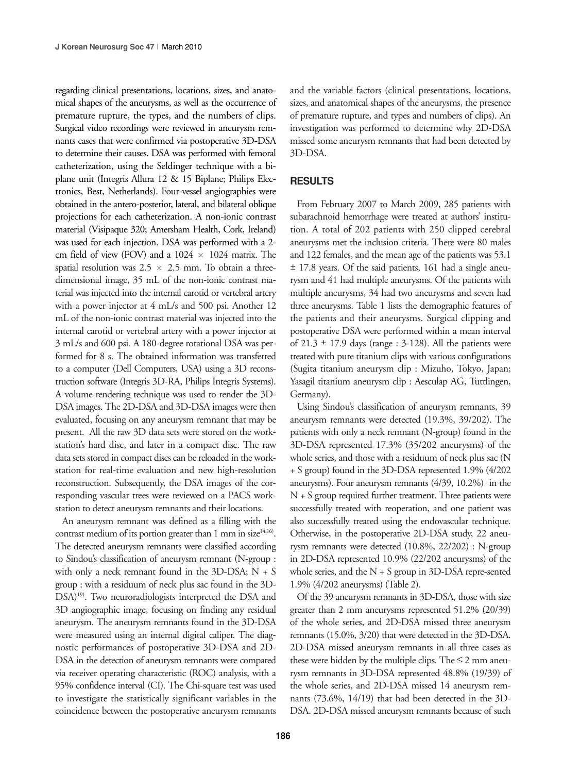regarding clinical presentations, locations, sizes, and anatomical shapes of the aneurysms, as well as the occurrence of premature rupture, the types, and the numbers of clips. Surgical video recordings were reviewed in aneurysm remnants cases that were confirmed via postoperative 3D-DSA to determine their causes. DSA was performed with femoral catheterization, using the Seldinger technique with a biplane unit (Integris Allura 12 & 15 Biplane; Philips Electronics, Best, Netherlands). Four-vessel angiographies were obtained in the antero-posterior, lateral, and bilateral oblique projections for each catheterization. A non-ionic contrast material (Visipaque 320; Amersham Health, Cork, Ireland) was used for each injection. DSA was performed with a 2 cm field of view (FOV) and a  $1024 \times 1024$  matrix. The spatial resolution was  $2.5 \times 2.5$  mm. To obtain a threedimensional image, 35 mL of the non-ionic contrast material was injected into the internal carotid or vertebral artery with a power injector at 4 mL/s and 500 psi. Another 12 mL of the non-ionic contrast material was injected into the internal carotid or vertebral artery with a power injector at 3 mL/s and 600 psi. A 180-degree rotational DSA was performed for 8 s. The obtained information was transferred to a computer (Dell Computers, USA) using a 3D reconstruction software (Integris 3D-RA, Philips Integris Systems). A volume-rendering technique was used to render the 3D-DSA images. The 2D-DSA and 3D-DSA images were then evaluated, focusing on any aneurysm remnant that may be present. All the raw 3D data sets were stored on the workstation's hard disc, and later in a compact disc. The raw data sets stored in compact discs can be reloaded in the workstation for real-time evaluation and new high-resolution reconstruction. Subsequently, the DSA images of the corresponding vascular trees were reviewed on a PACS workstation to detect aneurysm remnants and their locations.

An aneurysm remnant was defined as a filling with the contrast medium of its portion greater than 1 mm in size $14,16$ . The detected aneurysm remnants were classified according to Sindou's classification of aneurysm remnant (N-group : with only a neck remnant found in the 3D-DSA;  $N + S$ group : with a residuum of neck plus sac found in the 3D-DSA)<sup>19)</sup>. Two neuroradiologists interpreted the DSA and 3D angiographic image, focusing on finding any residual aneurysm. The aneurysm remnants found in the 3D-DSA were measured using an internal digital caliper. The diagnostic performances of postoperative 3D-DSA and 2D-DSA in the detection of aneurysm remnants were compared via receiver operating characteristic (ROC) analysis, with a 95% confidence interval (CI). The Chi-square test was used to investigate the statistically significant variables in the coincidence between the postoperative aneurysm remnants and the variable factors (clinical presentations, locations, sizes, and anatomical shapes of the aneurysms, the presence of premature rupture, and types and numbers of clips). An investigation was performed to determine why 2D-DSA missed some aneurysm remnants that had been detected by 3D-DSA.

# **RESULTS**

From February 2007 to March 2009, 285 patients with subarachnoid hemorrhage were treated at authors' institution. A total of 202 patients with 250 clipped cerebral aneurysms met the inclusion criteria. There were 80 males and 122 females, and the mean age of the patients was 53.1 ± 17.8 years. Of the said patients, 161 had a single aneurysm and 41 had multiple aneurysms. Of the patients with multiple aneurysms, 34 had two aneurysms and seven had three aneurysms. Table 1 lists the demographic features of the patients and their aneurysms. Surgical clipping and postoperative DSA were performed within a mean interval of 21.3  $\pm$  17.9 days (range : 3-128). All the patients were treated with pure titanium clips with various configurations (Sugita titanium aneurysm clip : Mizuho, Tokyo, Japan; Yasagil titanium aneurysm clip : Aesculap AG, Tuttlingen, Germany).

Using Sindou's classification of aneurysm remnants, 39 aneurysm remnants were detected (19.3%, 39/202). The patients with only a neck remnant (N-group) found in the 3D-DSA represented 17.3% (35/202 aneurysms) of the whole series, and those with a residuum of neck plus sac (N + S group) found in the 3D-DSA represented 1.9% (4/202 aneurysms). Four aneurysm remnants (4/39, 10.2%) in the N + S group required further treatment. Three patients were successfully treated with reoperation, and one patient was also successfully treated using the endovascular technique. Otherwise, in the postoperative 2D-DSA study, 22 aneurysm remnants were detected (10.8%, 22/202) : N-group in 2D-DSA represented 10.9% (22/202 aneurysms) of the whole series, and the  $N + S$  group in 3D-DSA repre-sented 1.9% (4/202 aneurysms) (Table 2).

Of the 39 aneurysm remnants in 3D-DSA, those with size greater than 2 mm aneurysms represented 51.2% (20/39) of the whole series, and 2D-DSA missed three aneurysm remnants (15.0%, 3/20) that were detected in the 3D-DSA. 2D-DSA missed aneurysm remnants in all three cases as these were hidden by the multiple clips. The  $\leq$  2 mm aneurysm remnants in 3D-DSA represented 48.8% (19/39) of the whole series, and 2D-DSA missed 14 aneurysm remnants (73.6%, 14/19) that had been detected in the 3D-DSA. 2D-DSA missed aneurysm remnants because of such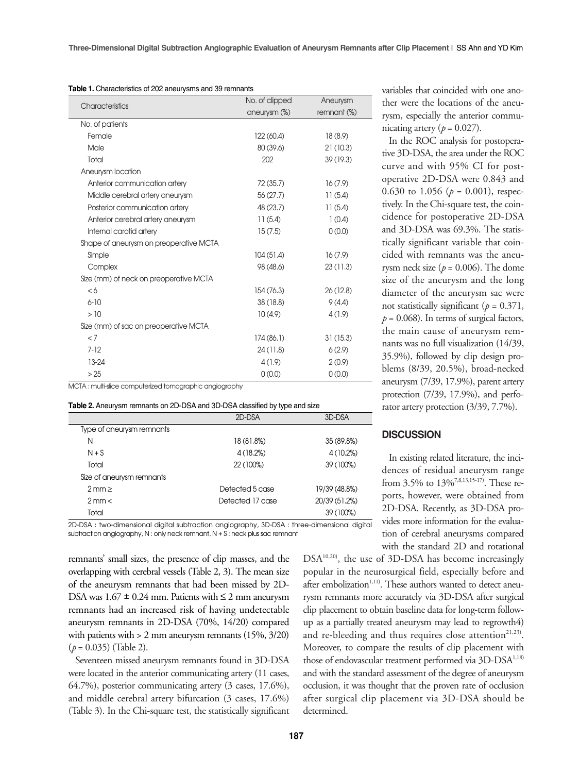| Table 1. Characteristics of 202 aneurysms and 39 remnants |  |
|-----------------------------------------------------------|--|
|-----------------------------------------------------------|--|

| Characteristics                        | No. of clipped | Aneurysm    |  |
|----------------------------------------|----------------|-------------|--|
|                                        | aneurysm (%)   | remnant (%) |  |
| No. of patients                        |                |             |  |
| Female                                 | 122 (60.4)     | 18(8.9)     |  |
| Male                                   | 80 (39.6)      | 21(10.3)    |  |
| Total                                  | 202            | 39 (19.3)   |  |
| Aneurysm location                      |                |             |  |
| Anterior communication artery          | 72(35.7)       | 16(7.9)     |  |
| Middle cerebral artery aneurysm        | 56(27.7)       | 11(5.4)     |  |
| Posterior communication artery         | 48 (23.7)      | 11(5.4)     |  |
| Anterior cerebral artery aneurysm      | 11(5.4)        | 1(0.4)      |  |
| Internal carotid artery                | 15(7.5)        | 0(0.0)      |  |
| Shape of aneurysm on preoperative MCTA |                |             |  |
| Simple                                 | 104(51.4)      | 16(7.9)     |  |
| Complex                                | 98 (48.6)      | 23(11.3)    |  |
| Size (mm) of neck on preoperative MCTA |                |             |  |
| <6                                     | 154 (76.3)     | 26(12.8)    |  |
| $6 - 10$                               | 38 (18.8)      | 9(4.4)      |  |
| >10                                    | 10(4.9)        | 4(1.9)      |  |
| Size (mm) of sac on preoperative MCTA  |                |             |  |
| < 7                                    | 174 (86.1)     | 31(15.3)    |  |
| $7 - 12$                               | 24(11.8)       | 6(2.9)      |  |
| 13-24                                  | 4(1.9)         | 2(0.9)      |  |
| > 25                                   | 0(0.0)         | 0(0.0)      |  |

MCTA : multi-slice computerized tomographic angiography

|  | Table 2. Aneurysm remnants on 2D-DSA and 3D-DSA classified by type and size |  |  |
|--|-----------------------------------------------------------------------------|--|--|
|--|-----------------------------------------------------------------------------|--|--|

|                           | 2D-DSA           | 3D-DSA        |
|---------------------------|------------------|---------------|
| Type of aneurysm remnants |                  |               |
| Ν                         | 18 (81.8%)       | 35 (89.8%)    |
| $N + S$                   | 4 (18.2%)        | 4 (10.2%)     |
| Total                     | 22 (100%)        | 39 (100%)     |
| Size of aneurysm remnants |                  |               |
| $2 \text{ mm} \geq$       | Detected 5 case  | 19/39 (48.8%) |
| $2$ mm $<$                | Detected 17 case | 20/39 (51.2%) |
| Total                     |                  | 39 (100%)     |

2D-DSA : two-dimensional digital subtraction angiography, 3D-DSA : three-dimensional digital subtraction angiography, N : only neck remnant, N + S : neck plus sac remnant

remnants' small sizes, the presence of clip masses, and the overlapping with cerebral vessels (Table 2, 3). The mean size of the aneurysm remnants that had been missed by 2D-DSA was  $1.67 \pm 0.24$  mm. Patients with  $\leq 2$  mm aneurysm remnants had an increased risk of having undetectable aneurysm remnants in 2D-DSA (70%, 14/20) compared with patients with  $> 2$  mm aneurysm remnants (15%, 3/20) (*p* = 0.035) (Table 2).

Seventeen missed aneurysm remnants found in 3D-DSA were located in the anterior communicating artery (11 cases, 64.7%), posterior communicating artery (3 cases, 17.6%), and middle cerebral artery bifurcation (3 cases, 17.6%) (Table 3). In the Chi-square test, the statistically significant

variables that coincided with one another were the locations of the aneurysm, especially the anterior communicating artery ( $p = 0.027$ ).

In the ROC analysis for postoperative 3D-DSA, the area under the ROC curve and with 95% CI for postoperative 2D-DSA were 0.843 and 0.630 to 1.056 ( $p = 0.001$ ), respectively. In the Chi-square test, the coincidence for postoperative 2D-DSA and 3D-DSA was 69.3%. The statistically significant variable that coincided with remnants was the aneurysm neck size ( $p = 0.006$ ). The dome size of the aneurysm and the long diameter of the aneurysm sac were not statistically significant ( $p = 0.371$ ,  $p = 0.068$ ). In terms of surgical factors, the main cause of aneurysm remnants was no full visualization (14/39, 35.9%), followed by clip design problems (8/39, 20.5%), broad-necked aneurysm (7/39, 17.9%), parent artery protection (7/39, 17.9%), and perforator artery protection (3/39, 7.7%).

#### **DISCUSSION**

In existing related literature, the incidences of residual aneurysm range from 3.5% to 13%<sup>7,8,13,15-17</sup>. These reports, however, were obtained from 2D-DSA. Recently, as 3D-DSA provides more information for the evaluation of cerebral aneurysms compared with the standard 2D and rotational

DSA10,20), the use of 3D-DSA has become increasingly popular in the neurosurgical field, especially before and after embolization<sup>1,11)</sup>. These authors wanted to detect aneurysm remnants more accurately via 3D-DSA after surgical clip placement to obtain baseline data for long-term followup as a partially treated aneurysm may lead to regrowth4) and re-bleeding and thus requires close attention<sup>21,23)</sup>. Moreover, to compare the results of clip placement with those of endovascular treatment performed via 3D-DSA<sup>1,18)</sup> and with the standard assessment of the degree of aneurysm occlusion, it was thought that the proven rate of occlusion after surgical clip placement via 3D-DSA should be determined.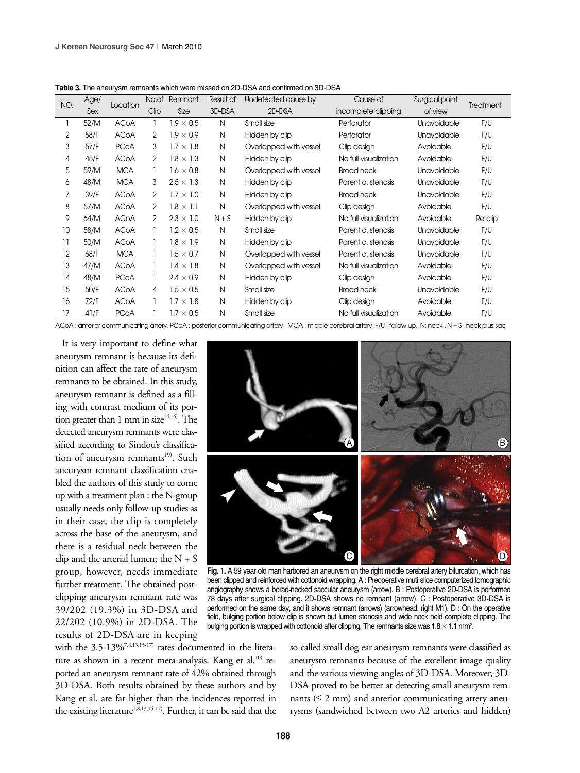| NO. | Age/ |             | No.of | Remnant          | Result of | Undetected cause by    | Cause of              | Surgical point     | Treatment |
|-----|------|-------------|-------|------------------|-----------|------------------------|-----------------------|--------------------|-----------|
|     | Sex  | Location    | Clip  | Size             | 3D-DSA    | 2D-DSA                 | incomplete clipping   | of view            |           |
|     | 52/M | <b>ACoA</b> | 1     | $1.9 \times 0.5$ | N         | Small size             | Perforator            | <b>Unavoidable</b> | F/U       |
| 2   | 58/F | <b>ACoA</b> | 2     | $1.9 \times 0.9$ | N         | Hidden by clip         | Perforator            | <b>Unavoidable</b> | F/U       |
| 3   | 57/F | <b>PCoA</b> | 3     | $1.7 \times 1.8$ | N         | Overlapped with vessel | Clip design           | Avoidable          | F/U       |
| 4   | 45/F | <b>ACoA</b> | 2     | $1.8 \times 1.3$ | N         | Hidden by clip         | No full visualization | Avoidable          | F/U       |
| 5   | 59/M | <b>MCA</b>  | 1     | $1.6 \times 0.8$ | N         | Overlapped with vessel | <b>Broad neck</b>     | <b>Unavoidable</b> | F/U       |
| 6   | 48/M | <b>MCA</b>  | 3     | $2.5 \times 1.3$ | N         | Hidden by clip         | Parent a. stenosis    | <b>Unavoidable</b> | F/U       |
| 7   | 39/F | <b>ACoA</b> | 2     | $1.7 \times 1.0$ | N         | Hidden by clip         | <b>Broad neck</b>     | <b>Unavoidable</b> | F/U       |
| 8   | 57/M | <b>ACoA</b> | 2     | $1.8 \times 1.1$ | N         | Overlapped with vessel | Clip design           | Avoidable          | F/U       |
| 9   | 64/M | <b>ACoA</b> | 2     | $2.3 \times 1.0$ | $N + S$   | Hidden by clip         | No full visualization | Avoidable          | Re-clip   |
| 10  | 58/M | <b>ACoA</b> | 1     | $1.2 \times 0.5$ | N         | Small size             | Parent a. stenosis    | <b>Unavoidable</b> | F/U       |
| 11  | 50/M | <b>ACoA</b> | 1     | $1.8 \times 1.9$ | N         | Hidden by clip         | Parent a. stenosis    | <b>Unavoidable</b> | F/U       |
| 12  | 68/F | <b>MCA</b>  |       | $1.5 \times 0.7$ | N         | Overlapped with vessel | Parent a. stenosis    | <b>Unavoidable</b> | F/U       |
| 13  | 47/M | <b>ACoA</b> | 1     | $1.4 \times 1.8$ | N         | Overlapped with vessel | No full visualization | Avoidable          | F/U       |
| 14  | 48/M | <b>PCoA</b> | 1     | $2.4 \times 0.9$ | N         | Hidden by clip         | Clip design           | Avoidable          | F/U       |
| 15  | 50/F | <b>ACoA</b> | 4     | $1.5 \times 0.5$ | N         | Small size             | <b>Broad neck</b>     | <b>Unavoidable</b> | F/U       |
| 16  | 72/F | <b>ACoA</b> |       | $1.7 \times 1.8$ | N         | Hidden by clip         | Clip design           | Avoidable          | F/U       |
| 17  | 41/F | <b>PCoA</b> |       | $1.7 \times 0.5$ | N         | Small size             | No full visualization | Avoidable          | F/U       |

**Table 3.** The aneurysm remnants which were missed on 2D-DSA and confirmed on 3D-DSA

ACoA : anterior communicating artery, PCoA : posterior communicating artery, MCA : middle cerebral artery, F/U : follow up, N: neck , N + S : neck plus sac

It is very important to define what aneurysm remnant is because its definition can affect the rate of aneurysm remnants to be obtained. In this study, aneurysm remnant is defined as a filling with contrast medium of its portion greater than 1 mm in size $14,16$ . The detected aneurysm remnants were classified according to Sindou's classification of aneurysm remnants<sup>19)</sup>. Such aneurysm remnant classification enabled the authors of this study to come up with a treatment plan : the N-group usually needs only follow-up studies as in their case, the clip is completely across the base of the aneurysm, and there is a residual neck between the clip and the arterial lumen; the  $N + S$ group, however, needs immediate further treatment. The obtained postclipping aneurysm remnant rate was 39/202 (19.3%) in 3D-DSA and 22/202 (10.9%) in 2D-DSA. The results of 2D-DSA are in keeping



Fig. 1. A 59-year-old man harbored an aneurysm on the right middle cerebral artery bifurcation, which has been clipped and reinforced with cottonoid wrapping. A : Preoperative muti-slice computerized tomographic angiography shows a borad-necked saccular aneurysm (arrow). B : Postoperative 2D-DSA is performed 78 days after surgical clipping. 2D-DSA shows no remnant (arrow). C : Postoperative 3D-DSA is performed on the same day, and it shows remnant (arrows) (arrowhead: right M1). D : On the operative field, bulging portion below clip is shown but lumen stenosis and wide neck held complete clipping. The bulging portion is wrapped with cottonoid after clipping. The remnants size was 1.8  $\times$  1.1 mm<sup>2</sup>.

with the 3.5-13%<sup>7,8,13,15-17)</sup> rates documented in the literature as shown in a recent meta-analysis. Kang et al.<sup>10)</sup> reported an aneurysm remnant rate of 42% obtained through 3D-DSA. Both results obtained by these authors and by Kang et al. are far higher than the incidences reported in the existing literature<sup>7,8,13,15-17)</sup>. Further, it can be said that the so-called small dog-ear aneurysm remnants were classified as aneurysm remnants because of the excellent image quality and the various viewing angles of 3D-DSA. Moreover, 3D-DSA proved to be better at detecting small aneurysm remnants  $(≤ 2 mm)$  and anterior communicating artery aneurysms (sandwiched between two A2 arteries and hidden)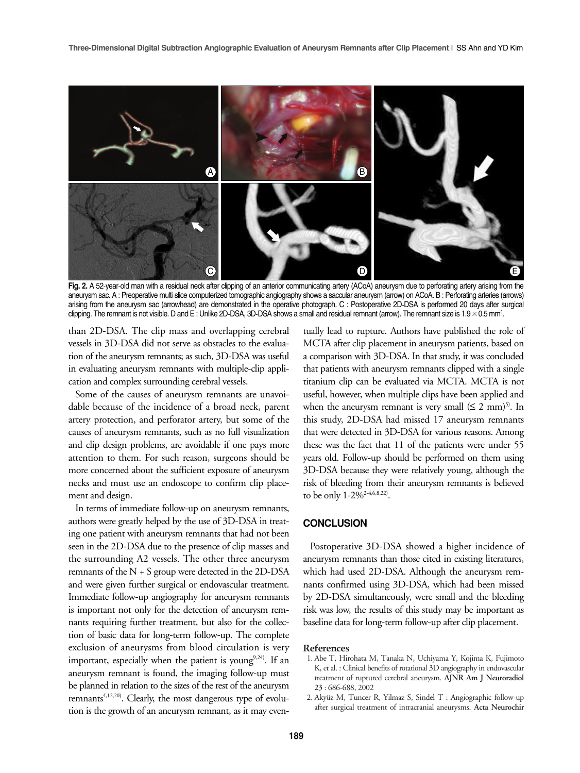

**Fig. 2.** A 52-year-old man with a residual neck after clipping of an anterior communicating artery (ACoA) aneurysm due to perforating artery arising from the aneurysm sac. A : Preoperative multi-slice computerized tomographic angiography shows a saccular aneurysm (arrow) on ACoA. B : Perforating arteries (arrows) arising from the aneurysm sac (arrowhead) are demonstrated in the operative photograph. C : Postoperative 2D-DSA is performed 20 days after surgical clipping. The remnant is not visible. D and E : Unlike 2D-DSA, 3D-DSA shows a small and residual remnant (arrow). The remnant size is 1.9  $\times$  0.5 mm².

than 2D-DSA. The clip mass and overlapping cerebral vessels in 3D-DSA did not serve as obstacles to the evaluation of the aneurysm remnants; as such, 3D-DSA was useful in evaluating aneurysm remnants with multiple-clip application and complex surrounding cerebral vessels.

Some of the causes of aneurysm remnants are unavoidable because of the incidence of a broad neck, parent artery protection, and perforator artery, but some of the causes of aneurysm remnants, such as no full visualization and clip design problems, are avoidable if one pays more attention to them. For such reason, surgeons should be more concerned about the sufficient exposure of aneurysm necks and must use an endoscope to confirm clip placement and design.

In terms of immediate follow-up on aneurysm remnants, authors were greatly helped by the use of 3D-DSA in treating one patient with aneurysm remnants that had not been seen in the 2D-DSA due to the presence of clip masses and the surrounding A2 vessels. The other three aneurysm remnants of the N + S group were detected in the 2D-DSA and were given further surgical or endovascular treatment. Immediate follow-up angiography for aneurysm remnants is important not only for the detection of aneurysm remnants requiring further treatment, but also for the collection of basic data for long-term follow-up. The complete exclusion of aneurysms from blood circulation is very important, especially when the patient is young<sup>9,24)</sup>. If an aneurysm remnant is found, the imaging follow-up must be planned in relation to the sizes of the rest of the aneurysm remnants<sup>4,12,20)</sup>. Clearly, the most dangerous type of evolution is the growth of an aneurysm remnant, as it may eventually lead to rupture. Authors have published the role of MCTA after clip placement in aneurysm patients, based on a comparison with 3D-DSA. In that study, it was concluded that patients with aneurysm remnants clipped with a single titanium clip can be evaluated via MCTA. MCTA is not useful, however, when multiple clips have been applied and when the aneurysm remnant is very small  $(\leq 2 \text{ mm})^5$ . In this study, 2D-DSA had missed 17 aneurysm remnants that were detected in 3D-DSA for various reasons. Among these was the fact that 11 of the patients were under 55 years old. Follow-up should be performed on them using 3D-DSA because they were relatively young, although the risk of bleeding from their aneurysm remnants is believed to be only 1-2%<sup>2-4,6,8,22)</sup>.

## **CONCLUSION**

Postoperative 3D-DSA showed a higher incidence of aneurysm remnants than those cited in existing literatures, which had used 2D-DSA. Although the aneurysm remnants confirmed using 3D-DSA, which had been missed by 2D-DSA simultaneously, were small and the bleeding risk was low, the results of this study may be important as baseline data for long-term follow-up after clip placement.

#### **References**

- 1. Abe T, Hirohata M, Tanaka N, Uchiyama Y, Kojima K, Fujimoto K, et al. : Clinical benefits of rotational 3D angiography in endovascular treatment of ruptured cerebral aneurysm. **AJNR Am J Neuroradiol 23** : 686-688, 2002
- 2. Akyüz M, Tuncer R, Yilmaz S, Sindel T : Angiographic follow-up after surgical treatment of intracranial aneurysms. **Acta Neurochir**